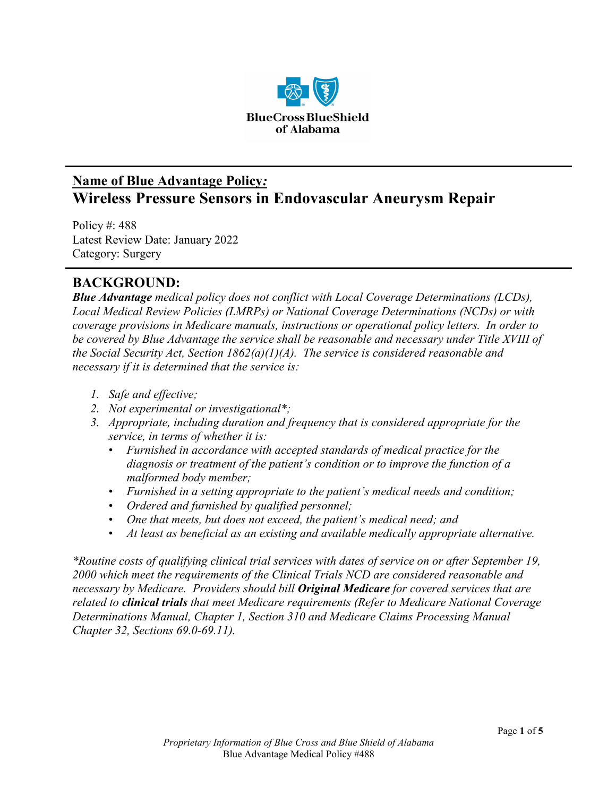

## **Name of Blue Advantage Policy***:* **Wireless Pressure Sensors in Endovascular Aneurysm Repair**

Policy #: 488 Latest Review Date: January 2022 Category: Surgery

## **BACKGROUND:**

*Blue Advantage medical policy does not conflict with Local Coverage Determinations (LCDs), Local Medical Review Policies (LMRPs) or National Coverage Determinations (NCDs) or with coverage provisions in Medicare manuals, instructions or operational policy letters. In order to be covered by Blue Advantage the service shall be reasonable and necessary under Title XVIII of the Social Security Act, Section 1862(a)(1)(A). The service is considered reasonable and necessary if it is determined that the service is:*

- *1. Safe and effective;*
- *2. Not experimental or investigational\*;*
- *3. Appropriate, including duration and frequency that is considered appropriate for the service, in terms of whether it is:*
	- *Furnished in accordance with accepted standards of medical practice for the diagnosis or treatment of the patient's condition or to improve the function of a malformed body member;*
	- *Furnished in a setting appropriate to the patient's medical needs and condition;*
	- *Ordered and furnished by qualified personnel;*
	- *One that meets, but does not exceed, the patient's medical need; and*
	- *At least as beneficial as an existing and available medically appropriate alternative.*

*\*Routine costs of qualifying clinical trial services with dates of service on or after September 19, 2000 which meet the requirements of the Clinical Trials NCD are considered reasonable and necessary by Medicare. Providers should bill Original Medicare for covered services that are related to clinical trials that meet Medicare requirements (Refer to Medicare National Coverage Determinations Manual, Chapter 1, Section 310 and Medicare Claims Processing Manual Chapter 32, Sections 69.0-69.11).*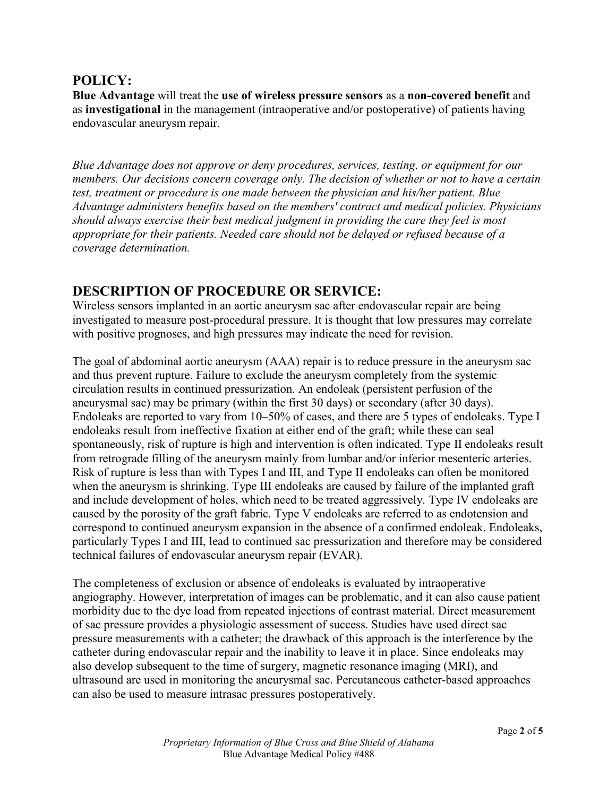### **POLICY:**

**Blue Advantage** will treat the **use of wireless pressure sensors** as a **non-covered benefit** and as **investigational** in the management (intraoperative and/or postoperative) of patients having endovascular aneurysm repair.

*Blue Advantage does not approve or deny procedures, services, testing, or equipment for our members. Our decisions concern coverage only. The decision of whether or not to have a certain test, treatment or procedure is one made between the physician and his/her patient. Blue Advantage administers benefits based on the members' contract and medical policies. Physicians should always exercise their best medical judgment in providing the care they feel is most appropriate for their patients. Needed care should not be delayed or refused because of a coverage determination.*

### **DESCRIPTION OF PROCEDURE OR SERVICE:**

Wireless sensors implanted in an aortic aneurysm sac after endovascular repair are being investigated to measure post-procedural pressure. It is thought that low pressures may correlate with positive prognoses, and high pressures may indicate the need for revision.

The goal of abdominal aortic aneurysm (AAA) repair is to reduce pressure in the aneurysm sac and thus prevent rupture. Failure to exclude the aneurysm completely from the systemic circulation results in continued pressurization. An endoleak (persistent perfusion of the aneurysmal sac) may be primary (within the first 30 days) or secondary (after 30 days). Endoleaks are reported to vary from 10–50% of cases, and there are 5 types of endoleaks. Type I endoleaks result from ineffective fixation at either end of the graft; while these can seal spontaneously, risk of rupture is high and intervention is often indicated. Type II endoleaks result from retrograde filling of the aneurysm mainly from lumbar and/or inferior mesenteric arteries. Risk of rupture is less than with Types I and III, and Type II endoleaks can often be monitored when the aneurysm is shrinking. Type III endoleaks are caused by failure of the implanted graft and include development of holes, which need to be treated aggressively. Type IV endoleaks are caused by the porosity of the graft fabric. Type V endoleaks are referred to as endotension and correspond to continued aneurysm expansion in the absence of a confirmed endoleak. Endoleaks, particularly Types I and III, lead to continued sac pressurization and therefore may be considered technical failures of endovascular aneurysm repair (EVAR).

The completeness of exclusion or absence of endoleaks is evaluated by intraoperative angiography. However, interpretation of images can be problematic, and it can also cause patient morbidity due to the dye load from repeated injections of contrast material. Direct measurement of sac pressure provides a physiologic assessment of success. Studies have used direct sac pressure measurements with a catheter; the drawback of this approach is the interference by the catheter during endovascular repair and the inability to leave it in place. Since endoleaks may also develop subsequent to the time of surgery, magnetic resonance imaging (MRI), and ultrasound are used in monitoring the aneurysmal sac. Percutaneous catheter-based approaches can also be used to measure intrasac pressures postoperatively.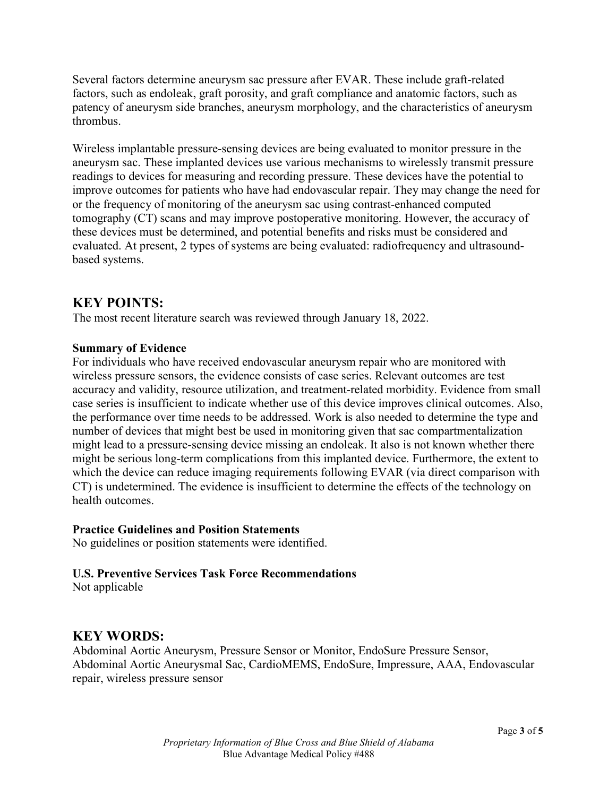Several factors determine aneurysm sac pressure after EVAR. These include graft-related factors, such as endoleak, graft porosity, and graft compliance and anatomic factors, such as patency of aneurysm side branches, aneurysm morphology, and the characteristics of aneurysm thrombus.

Wireless implantable pressure-sensing devices are being evaluated to monitor pressure in the aneurysm sac. These implanted devices use various mechanisms to wirelessly transmit pressure readings to devices for measuring and recording pressure. These devices have the potential to improve outcomes for patients who have had endovascular repair. They may change the need for or the frequency of monitoring of the aneurysm sac using contrast-enhanced computed tomography (CT) scans and may improve postoperative monitoring. However, the accuracy of these devices must be determined, and potential benefits and risks must be considered and evaluated. At present, 2 types of systems are being evaluated: radiofrequency and ultrasoundbased systems.

### **KEY POINTS:**

The most recent literature search was reviewed through January 18, 2022.

#### **Summary of Evidence**

For individuals who have received endovascular aneurysm repair who are monitored with wireless pressure sensors, the evidence consists of case series. Relevant outcomes are test accuracy and validity, resource utilization, and treatment-related morbidity. Evidence from small case series is insufficient to indicate whether use of this device improves clinical outcomes. Also, the performance over time needs to be addressed. Work is also needed to determine the type and number of devices that might best be used in monitoring given that sac compartmentalization might lead to a pressure-sensing device missing an endoleak. It also is not known whether there might be serious long-term complications from this implanted device. Furthermore, the extent to which the device can reduce imaging requirements following EVAR (via direct comparison with CT) is undetermined. The evidence is insufficient to determine the effects of the technology on health outcomes.

#### **Practice Guidelines and Position Statements**

No guidelines or position statements were identified.

#### **U.S. Preventive Services Task Force Recommendations**

Not applicable

### **KEY WORDS:**

Abdominal Aortic Aneurysm, Pressure Sensor or Monitor, EndoSure Pressure Sensor, Abdominal Aortic Aneurysmal Sac, CardioMEMS, EndoSure, Impressure, AAA, Endovascular repair, wireless pressure sensor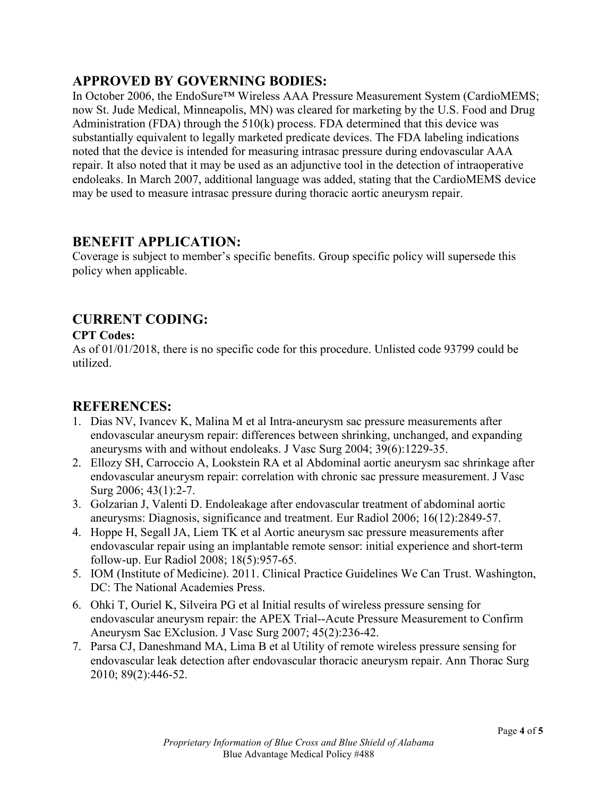## **APPROVED BY GOVERNING BODIES:**

In October 2006, the EndoSure™ Wireless AAA Pressure Measurement System (CardioMEMS; now St. Jude Medical, Minneapolis, MN) was cleared for marketing by the U.S. Food and Drug Administration (FDA) through the 510(k) process. FDA determined that this device was substantially equivalent to legally marketed predicate devices. The FDA labeling indications noted that the device is intended for measuring intrasac pressure during endovascular AAA repair. It also noted that it may be used as an adjunctive tool in the detection of intraoperative endoleaks. In March 2007, additional language was added, stating that the CardioMEMS device may be used to measure intrasac pressure during thoracic aortic aneurysm repair.

### **BENEFIT APPLICATION:**

Coverage is subject to member's specific benefits. Group specific policy will supersede this policy when applicable.

# **CURRENT CODING:**

#### **CPT Codes:**

As of 01/01/2018, there is no specific code for this procedure. Unlisted code 93799 could be utilized.

### **REFERENCES:**

- 1. Dias NV, Ivancev K, Malina M et al Intra-aneurysm sac pressure measurements after endovascular aneurysm repair: differences between shrinking, unchanged, and expanding aneurysms with and without endoleaks. J Vasc Surg 2004; 39(6):1229-35.
- 2. Ellozy SH, Carroccio A, Lookstein RA et al Abdominal aortic aneurysm sac shrinkage after endovascular aneurysm repair: correlation with chronic sac pressure measurement. J Vasc Surg 2006; 43(1):2-7.
- 3. Golzarian J, Valenti D. Endoleakage after endovascular treatment of abdominal aortic aneurysms: Diagnosis, significance and treatment. Eur Radiol 2006; 16(12):2849-57.
- 4. Hoppe H, Segall JA, Liem TK et al Aortic aneurysm sac pressure measurements after endovascular repair using an implantable remote sensor: initial experience and short-term follow-up. Eur Radiol 2008; 18(5):957-65.
- 5. IOM (Institute of Medicine). 2011. Clinical Practice Guidelines We Can Trust. Washington, DC: The National Academies Press.
- 6. Ohki T, Ouriel K, Silveira PG et al Initial results of wireless pressure sensing for endovascular aneurysm repair: the APEX Trial--Acute Pressure Measurement to Confirm Aneurysm Sac EXclusion. J Vasc Surg 2007; 45(2):236-42.
- 7. Parsa CJ, Daneshmand MA, Lima B et al Utility of remote wireless pressure sensing for endovascular leak detection after endovascular thoracic aneurysm repair. Ann Thorac Surg 2010; 89(2):446-52.